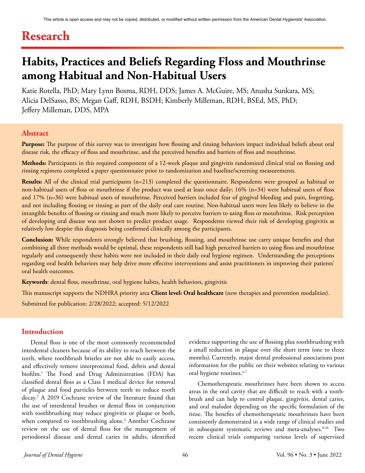# **Research**

# **Habits, Practices and Beliefs Regarding Floss and Mouthrinse among Habitual and Non-Habitual Users**

Katie Rotella, PhD; Mary Lynn Bosma, RDH, DDS; James A. McGuire, MS; Anusha Sunkara, MS; Alicia DelSasso, BS; Megan Gaff, RDH, BSDH; Kimberly Milleman, RDH, BSEd, MS, PhD; Jeffery Milleman, DDS, MPA

# **Abstract**

**Purpose:** The purpose of this survey was to investigate how flossing and rinsing behaviors impact individual beliefs about oral disease risk, the efficacy of floss and mouthrinse, and the perceived benefits and barriers of floss and mouthrinse.

**Methods:** Participants in this required component of a 12-week plaque and gingivitis randomized clinical trial on flossing and rinsing regimens completed a paper questionnaire prior to randomization and baseline/screening measurements.

**Results:** All of the clinical trial participants (n=213) completed the questionnaire. Respondents were grouped as habitual or non-habitual users of floss or mouthrinse if the product was used at least once daily; 16% (n=34) were habitual users of floss and 17% (n=36) were habitual users of mouthrinse. Perceived barriers included fear of gingival bleeding and pain, forgetting, and not including flossing or rinsing as part of the daily oral care routine. Non-habitual users were less likely to believe in the intangible benefits of flossing or rinsing and much more likely to perceive barriers to using floss or mouthrinse. Risk perception of developing oral disease was not shown to predict product usage. Respondents viewed their risk of developing gingivitis as relatively low despite this diagnosis being confirmed clinically among the participants.

**Conclusion:** While respondents strongly believed that brushing, flossing, and mouthrinse use carry unique benefits and that combining all three methods would be optimal, these respondents still had high perceived barriers to using floss and mouthrinse regularly and consequently these habits were not included in their daily oral hygiene regimen. Understanding the perceptions regarding oral health behaviors may help drive more effective interventions and assist practitioners in improving their patients' oral health outcomes.

**Keywords**: dental floss, mouthrinse, oral hygiene habits, health behaviors, gingivitis

This manuscript supports the NDHRA priority area **Client level: Oral healthcare** (new therapies and prevention modalities).

Submitted for publication: 2/28/2022; accepted: 5/12/2022

# **Introduction**

Dental floss is one of the most commonly recommended interdental cleaners because of its ability to reach between the teeth, where toothbrush bristles are not able to easily access, and effectively remove interproximal food, debris and dental biofilm.1 The Food and Drug Administration (FDA) has classified dental floss as a Class I medical device for removal of plaque and food particles between teeth to reduce tooth decay.2 A 2019 Cochrane review of the literature found that the use of interdental brushes or dental floss in conjunction with toothbrushing may reduce gingivitis or plaque or both, when compared to toothbrushing alone.<sup>3</sup> Another Cochrane review on the use of dental floss for the management of periodontal disease and dental caries in adults, identified

evidence supporting the use of flossing plus toothbrushing with a small reduction in plaque over the short term (one to three months).Currently, major dental professional associations post information for the public on their websites relating to various oral hygiene routines.4-7

Chemotherapeutic mouthrinses have been shown to access areas in the oral cavity that are difficult to reach with a toothbrush and can help to control plaque, gingivitis, dental caries, and oral malodor depending on the specific formulation of the rinse. The benefits of chemotherapeutic mouthrinses have been consistently demonstrated in a wide range of clinical studies and in subsequent systematic reviews and meta-analyses.<sup>8-16</sup> Two recent clinical trials comparing various levels of supervised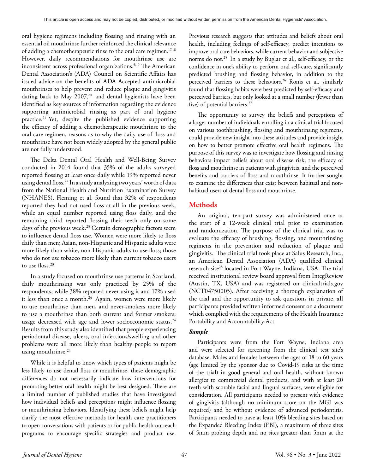oral hygiene regimens including flossing and rinsing with an essential oil mouthrinse further reinforced the clinical relevance of adding a chemotherapeutic rinse to the oral care regimen.<sup>17,18</sup> However, daily recommendations for mouthrinse use are inconsistent across professional organizations.5,19 The American Dental Association's (ADA) Council on Scientific Affairs has issued advice on the benefits of ADA Accepted antimicrobial mouthrinses to help prevent and reduce plaque and gingivitis dating back to May  $2007$ ,<sup>20</sup> and dental hygienists have been identified as key sources of information regarding the evidence supporting antimicrobial rinsing as part of oral hygiene practice.<sup>21</sup> Yet, despite the published evidence supporting the efficacy of adding a chemotherapeutic mouthrinse to the oral care regimen, reasons as to why the daily use of floss and mouthrinse have not been widely adopted by the general public are not fully understood.

The Delta Dental Oral Health and Well-Being Survey conducted in 2014 found that 35% of the adults surveyed reported flossing at least once daily while 19% reported never using dental floss.<sup>22</sup> In a study analyzing two years' worth of data from the National Health and Nutrition Examination Survey (NHANES), Fleming et al. found that 32% of respondents reported they had not used floss at all in the previous week, while an equal number reported using floss daily, and the remaining third reported flossing their teeth only on some days of the previous week.<sup>23</sup> Certain demographic factors seem to influence dental floss use. Women were more likely to floss daily than men; Asian, non-Hispanic and Hispanic adults were more likely than white, non-Hispanic adults to use floss; those who do not use tobacco more likely than current tobacco users to use floss.<sup>23</sup>

In a study focused on mouthrinse use patterns in Scotland, daily mouthrinsing was only practiced by 25% of the respondents, while 38% reported never using it and 17% used it less than once a month.<sup>24</sup> Again, women were more likely to use mouthrinse than men, and never-smokers more likely to use a mouthrinse than both current and former smokers; usage decreased with age and lower socioeconomic status.<sup>24</sup> Results from this study also identified that people experiencing periodontal disease, ulcers, oral infections/swelling and other problems were all more likely than healthy people to report using mouthrinse.<sup>24</sup>

While it is helpful to know which types of patients might be less likely to use dental floss or mouthrinse, these demographic differences do not necessarily indicate how interventions for promoting better oral health might be best designed. There are a limited number of published studies that have investigated how individual beliefs and perceptions might influence flossing or mouthrinsing behaviors. Identifying these beliefs might help clarify the most effective methods for health care practitioners to open conversations with patients or for public health outreach programs to encourage specific strategies and product use.

Previous research suggests that attitudes and beliefs about oral health, including feelings of self-efficacy, predict intentions to improve oral care behaviors, while current behavior and subjective norms do not.25 In a study by Buglar et al., self-efficacy, or the confidence in one's ability to perform oral self-care, significantly predicted brushing and flossing behavior, in addition to the perceived barriers to these behaviors.<sup>26</sup> Ronis et al. similarly found that flossing habits were best predicted by self-efficacy and perceived barriers, but only looked at a small number (fewer than five) of potential barriers.<sup>27</sup>

The opportunity to survey the beliefs and perceptions of a larger number of individuals enrolling in a clinical trial focused on various toothbrushing, flossing and mouthrinsing regimens, could provide new insight into these attitudes and provide insight on how to better promote effective oral health regimens. The purpose of this survey was to investigate how flossing and rinsing behaviors impact beliefs about oral disease risk, the efficacy of floss and mouthrinse in patients with gingivitis, and the perceived benefits and barriers of floss and mouthrinse. It further sought to examine the differences that exist between habitual and nonhabitual users of dental floss and mouthrinse.

# **Methods**

An original, ten-part survey was administered once at the start of a 12-week clinical trial prior to examination and randomization. The purpose of the clinical trial was to evaluate the efficacy of brushing, flossing, and mouthrinsing regimens in the prevention and reduction of plaque and gingivitis. The clinical trial took place at Salus Research, Inc., an American Dental Association (ADA) qualified clinical research site<sup>28</sup> located in Fort Wayne, Indiana, USA. The trial received institutional review board approval from IntegReview (Austin, TX, USA) and was registered on clinicaltrials.gov (NCT04750005). After receiving a thorough explanation of the trial and the opportunity to ask questions in private, all participants provided written informed consent on a document which complied with the requirements of the Health Insurance Portability and Accountability Act.

# *Sample*

Participants were from the Fort Wayne, Indiana area and were selected for screening from the clinical test site's database. Males and females between the ages of 18 to 60 years (age limited by the sponsor due to Covid-19 risks at the time of the trial) in good general and oral health, without known allergies to commercial dental products, and with at least 20 teeth with scorable facial and lingual surfaces, were eligible for consideration. All participants needed to present with evidence of gingivitis (although no minimum score on the MGI was required) and be without evidence of advanced periodontitis. Participants needed to have at least 10% bleeding sites based on the Expanded Bleeding Index (EBI), a maximum of three sites of 5mm probing depth and no sites greater than 5mm at the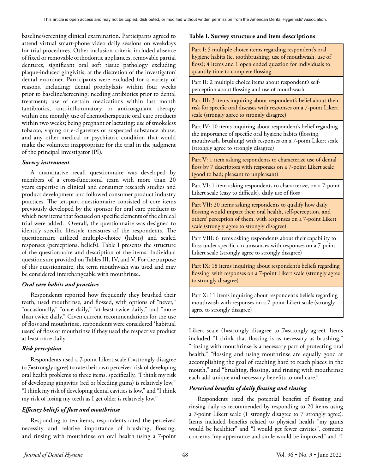baseline/screening clinical examination. Participants agreed to attend virtual smart-phone video daily sessions on weekdays for trial procedures. Other inclusion criteria included absence of fixed or removable orthodontic appliances, removable partial dentures, significant oral soft tissue pathology excluding plaque-induced gingivitis, at the discretion of the investigator/ dental examiner. Participants were excluded for a variety of reasons, including: dental prophylaxis within four weeks prior to baseline/screening; needing antibiotics prior to dental treatment; use of certain medications within last month (antibiotics, anti-inflammatory or anticoagulant therapy within one month); use of chemotherapeutic oral care products within two weeks; being pregnant or lactating; use of smokeless tobacco, vaping or e-cigarettes or suspected substance abuse; and any other medical or psychiatric condition that would make the volunteer inappropriate for the trial in the judgment of the principal investigator (PI).

#### *Survey instrument*

A quantitative recall questionnaire was developed by members of a cross-functional team with more than 20 years expertise in clinical and consumer research studies and product development and followed consumer product industry practices. The ten-part questionnaire consisted of core items previously developed by the sponsor for oral care products to which new items that focused on specific elements of the clinical trial were added. Overall, the questionnaire was designed to identify specific lifestyle measures of the respondents. The questionnaire utilized multiple-choice (habits) and scaled responses (perceptions, beliefs). Table I presents the structure of the questionnaire and description of the items. Individual questions are provided on Tables III, IV, and V. For the purpose of this questionnaire, the term mouthwash was used and may be considered interchangeable with mouthrinse.

# *Oral care habits and practices*

Respondents reported how frequently they brushed their teeth, used mouthrinse, and flossed, with options of "never," "occasionally," "once daily," "at least twice daily," and "more than twice daily." Given current recommendations for the use of floss and mouthrinse, respondents were considered 'habitual users' of floss or mouthrinse if they used the respective product at least once daily.

# *Risk perception*

Respondents used a 7-point Likert scale (1=strongly disagree to 7=strongly agree) to rate their own perceived risk of developing oral health problems to three items, specifically, "I think my risk of developing gingivitis (red or bleeding gums) is relatively low," "I think my risk of developing dental cavities is low," and "I think my risk of losing my teeth as I get older is relatively low."

# *Efficacy beliefs of floss and mouthrinse*

Responding to ten items, respondents rated the perceived necessity and relative importance of brushing, flossing, and rinsing with mouthrinse on oral health using a 7-point

## **Table I. Survey structure and item descriptions**

Part I: 5 multiple choice items regarding respondent's oral hygiene habits (ie, toothbrushing, use of mouthwash, use of floss); 4 items and 1 open ended question for individuals to quantify time to complete flossing

Part II: 2 multiple choice items about respondent's selfperception about flossing and use of mouthwash

Part III: 3 items inquiring about respondent's belief about their risk for specific oral diseases with responses on a 7-point Likert scale (strongly agree to strongly disagree)

Part IV: 10 items inquiring about respondent's belief regarding the importance of specific oral hygiene habits (flossing, mouthwash, brushing) with responses on a 7-point Likert scale (strongly agree to strongly disagree)

Part V: 1 item asking respondents to characterize use of dental floss by 7 descriptors with responses on a 7-point Likert scale (good to bad; pleasant to unpleasant)

Part VI: 1 item asking respondents to characterize, on a 7-point Likert scale (easy to difficult), daily use of floss

Part VII: 20 items asking respondents to qualify how daily flossing would impact their oral health, self-perception, and others' perception of them, with responses on a 7-point Likert scale (strongly agree to strongly disagree)

Part VIII: 6 items asking respondents about their capability to floss under specific circumstances with responses on a 7-point Likert scale (strongly agree to strongly disagree)

Part IX: 18 items inquiring about respondent's beliefs regarding flossing with responses on a 7-point Likert scale (strongly agree to strongly disagree)

Part X: 11 items inquiring about respondent's beliefs regarding mouthwash with responses on a 7-point Likert scale (strongly agree to strongly disagree)

Likert scale (1=strongly disagree to 7=strongly agree). Items included "I think that flossing is as necessary as brushing," "rinsing with mouthrinse is a necessary part of protecting oral health," "flossing and using mouthrinse are equally good at accomplishing the goal of reaching hard to reach places in the mouth," and "brushing, flossing, and rinsing with mouthrinse each add unique and necessary benefits to oral care."

# *Perceived benefits of daily flossing and rinsing*

Respondents rated the potential benefits of flossing and rinsing daily as recommended by responding to 20 items using a 7-point Likert scale (1=strongly disagree to 7=strongly agree). Items included benefits related to physical health "my gums would be healthier" and "I would get fewer cavities", cosmetic concerns "my appearance and smile would be improved" and "I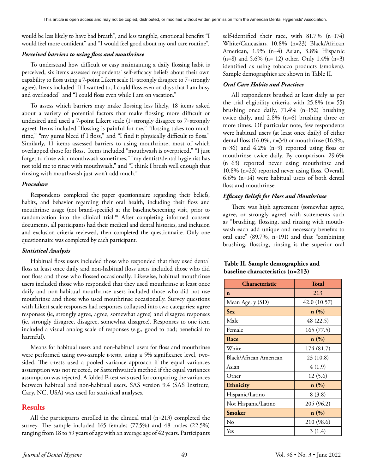would be less likely to have bad breath", and less tangible, emotional benefits "I would feel more confident" and "I would feel good about my oral care routine".

#### *Perceived barriers to using floss and mouthrinse*

To understand how difficult or easy maintaining a daily flossing habit is perceived, six items assessed respondents' self-efficacy beliefs about their own capability to floss using a 7-point Likert scale (1=strongly disagree to 7=strongly agree). Items included "If I wanted to, I could floss even on days that I am busy and overloaded" and "I could floss even while I am on vacation."

To assess which barriers may make flossing less likely, 18 items asked about a variety of potential factors that make flossing more difficult or undesired and used a 7-point Likert scale (1=strongly disagree to 7=strongly agree). Items included "flossing is painful for me," "flossing takes too much time," "my gums bleed if I floss," and "I find it physically difficult to floss." Similarly, 11 items assessed barriers to using mouthrinse, most of which overlapped those for floss. Items included "mouthwash is overpriced," "I just forget to rinse with mouthwash sometimes," "my dentist/dental hygienist has not told me to rinse with mouthwash," and "I think I brush well enough that rinsing with mouthwash just won't add much."

#### *Procedure*

Respondents completed the paper questionnaire regarding their beliefs, habits, and behavior regarding their oral health, including their floss and mouthrinse usage (not brand-specific) at the baseline/screening visit, prior to randomization into the clinical trial.<sup>18</sup> After completing informed consent documents, all participants had their medical and dental histories, and inclusion and exclusion criteria reviewed, then completed the questionnaire. Only one questionnaire was completed by each participant.

#### *Statistical Analysis*

Habitual floss users included those who responded that they used dental floss at least once daily and non-habitual floss users included those who did not floss and those who flossed occasionally. Likewise, habitual mouthrinse users included those who responded that they used mouthrinse at least once daily and non-habitual mouthrinse users included those who did not use mouthrinse and those who used mouthrinse occasionally. Survey questions with Likert scale responses had responses collapsed into two categories: agree responses (ie, strongly agree, agree, somewhat agree) and disagree responses (ie, strongly disagree, disagree, somewhat disagree). Responses to one item included a visual analog scale of responses (e.g., good to bad; beneficial to harmful).

Means for habitual users and non-habitual users for floss and mouthrinse were performed using two-sample t-tests, using a 5% significance level, twosided. The t-tests used a pooled variance approach if the equal variances assumption was not rejected, or Satterthwaite's method if the equal variances assumption was rejected. A folded F-test was used for comparing the variances between habitual and non-habitual users. SAS version 9.4 (SAS Institute, Cary, NC, USA) was used for statistical analyses.

# **Results**

All the participants enrolled in the clinical trial (n=213) completed the survey. The sample included 165 females (77.5%) and 48 males (22.5%) ranging from 18 to 59 years of age with an average age of 42 years. Participants self-identified their race, with 81.7% (n=174) White/Caucasian, 10.8% (n=23) Black/African American, 1.9% (n=4) Asian, 3.8% Hispanic (n=8) and 5.6% (n= 12) other. Only 1.4% (n=3) identified as using tobacco products (smokers). Sample demographics are shown in Table II.

#### *Oral Care Habits and Practices*

All respondents brushed at least daily as per the trial eligibility criteria, with 25.8% (n= 55) brushing once daily, 71.4% (n=152) brushing twice daily, and 2.8% (n=6) brushing three or more times. Of particular note, few respondents were habitual users (at least once daily) of either dental floss  $(16.0\% \text{ n} = 34)$  or mouthrinse  $(16.9\% \text{ n} = 34)$ n=36) and 4.2% (n=9) reported using floss or mouthrinse twice daily. By comparison, 29.6% (n=63) reported never using mouthrinse and 10.8% (n=23) reported never using floss. Overall, 6.6% (n=14) were habitual users of both dental floss and mouthrinse.

#### *Efficacy Beliefs for Floss and Mouthrinse*

There was high agreement (somewhat agree, agree, or strongly agree) with statements such as "brushing, flossing, and rinsing with mouthwash each add unique and necessary benefits to oral care" (89.7%, n=191) and that "combining brushing, flossing, rinsing is the superior oral

# **Table II. Sample demographics and baseline characteristics (n=213)**

| Characteristic         | <b>Total</b>     |  |  |
|------------------------|------------------|--|--|
| $\mathbf n$            | 213              |  |  |
| Mean Age, y (SD)       | 42.0 (10.57)     |  |  |
| <b>Sex</b>             | n(%)             |  |  |
| Male                   | 48 (22.5)        |  |  |
| Female                 | 165(77.5)        |  |  |
| Race                   | n(%)             |  |  |
| White                  | 174 (81.7)       |  |  |
| Black/African American | 23 (10.8)        |  |  |
| Asian                  | 4(1.9)           |  |  |
| Other                  | 12(5.6)          |  |  |
| Ethnicity              | $\mathbf{n}(\%)$ |  |  |
| Hispanic/Latino        | 8(3.8)           |  |  |
| Not Hispanic/Latino    | 205 (96.2)       |  |  |
| <b>Smoker</b>          | n(%)             |  |  |
| No                     | 210 (98.6)       |  |  |
| Yes                    | 3(1.4)           |  |  |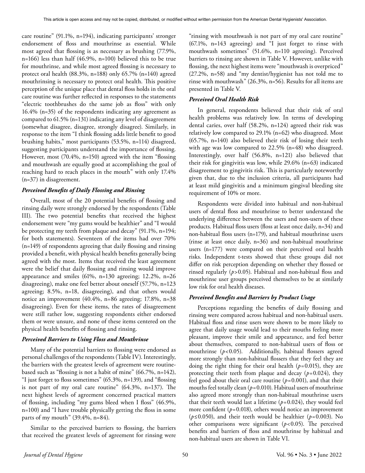care routine" (91.1%, n=194), indicating participants' stronger endorsement of floss and mouthrinse as essential. While most agreed that flossing is as necessary as brushing (77.9%, n=166) less than half (46.9%, n=100) believed this to be true for mouthrinse, and while most agreed flossing is necessary to protect oral health (88.3%, n=188) only 65.7% (n=140) agreed mouthrinsing is necessary to protect oral health. This positive perception of the unique place that dental floss holds in the oral care routine was further reflected in responses to the statements "electric toothbrushes do the same job as floss" with only 16.4% (n=35) of the respondents indicating any agreement as compared to 61.5% (n=131) indicating any level of disagreement (somewhat disagree, disagree, strongly disagree). Similarly, in response to the item "I think flossing adds little benefit to good brushing habits," most participants (53.5%, n=114) disagreed, suggesting participants understand the importance of flossing. However, most (70.4%, n=150) agreed with the item "flossing and mouthwash are equally good at accomplishing the goal of reaching hard to reach places in the mouth" with only 17.4% (n=37) in disagreement.

## *Perceived Benefits of Daily Flossing and Rinsing*

Overall, most of the 20 potential benefits of flossing and rinsing daily were strongly endorsed by the respondents (Table III). The two potential benefits that received the highest endorsement were "my gums would be healthier" and "I would be protecting my teeth from plaque and decay" (91.1%, n=194; for both statements). Seventeen of the items had over 70% (n=149) of respondents agreeing that daily flossing and rinsing provided a benefit, with physical health benefits generally being agreed with the most. Items that received the least agreement were the belief that daily flossing and rinsing would improve appearance and smiles (61%, n=130 agreeing; 12.2%, n=26 disagreeing), make one feel better about oneself (57.7%, n=123 agreeing; 8.5%, n=18, disagreeing), and that others would notice an improvement (40.4%, n=86 agreeing; 17.8%, n=38 disagreeing). Even for these items, the rates of disagreement were still rather low, suggesting respondents either endorsed them or were unsure, and none of these items centered on the physical health benefits of flossing and rinsing.

#### *Perceived Barriers to Using Floss and Mouthrinse*

Many of the potential barriers to flossing were endorsed as personal challenges of the respondents (Table IV). Interestingly, the barriers with the greatest levels of agreement were routinebased such as "flossing is not a habit of mine" (66.7%, n=142), "I just forget to floss sometimes" (65.3%, n=139), and "flossing is not part of my oral care routine" (64.3%, n=137). The next highest levels of agreement concerned practical matters of flossing, including "my gums bleed when I floss" (46.9%, n=100) and "I have trouble physically getting the floss in some parts of my mouth" (39.4%, n=84).

Similar to the perceived barriers to flossing, the barriers that received the greatest levels of agreement for rinsing were "rinsing with mouthwash is not part of my oral care routine" (67.1%, n=143 agreeing) and "I just forget to rinse with mouthwash sometimes" (51.6%, n=110 agreeing). Perceived barriers to rinsing are shown in Table V. However, unlike with flossing, the next highest items were "mouthwash is overpriced" (27.2%, n=58) and "my dentist/hygienist has not told me to rinse with mouthwash" (26.3%, n=56). Results for all items are presented in Table V.

## *Perceived Oral Health Risk*

In general, respondents believed that their risk of oral health problems was relatively low. In terms of developing dental caries, over half (58.2%, n=124) agreed their risk was relatively low compared to 29.1% (n=62) who disagreed. Most (65.7%, n=140) also believed their risk of losing their teeth with age was low compared to 22.5% (n=48) who disagreed. Interestingly, over half (56.8%, n=121) also believed that their risk for gingivitis was low, while 29.6% (n=63) indicated disagreement to gingivitis risk. This is particularly noteworthy given that, due to the inclusion criteria, all participants had at least mild gingivitis and a minimum gingival bleeding site requirement of 10% or more.

Respondents were divided into habitual and non-habitual users of dental floss and mouthrinse to better understand the underlying difference between the users and non-users of these products. Habitual floss users (floss at least once daily, n=34) and non-habitual floss users (n=179), and habitual mouthrinse users (rinse at least once daily, n=36) and non-habitual mouthrinse users (n=177) were compared on their perceived oral health risks. Independent t-tests showed that these groups did not differ on risk perception depending on whether they flossed or rinsed regularly (*p*>0.05). Habitual and non-habitual floss and mouthrinse user groups perceived themselves to be at similarly low risk for oral health diseases.

#### *Perceived Benefits and Barriers by Product Usage*

Perceptions regarding the benefits of daily flossing and rinsing were compared across habitual and non-habitual users. Habitual floss and rinse users were shown to be more likely to agree that daily usage would lead to their mouths feeling more pleasant, improve their smile and appearance, and feel better about themselves, compared to non-habitual users of floss or mouthrinse (p<0.05). Additionally, habitual flossers agreed more strongly than non-habitual flossers that they feel they are doing the right thing for their oral health (*p*=0.015), they are protecting their teeth from plaque and decay  $(p=0.024)$ , they feel good about their oral care routine  $(p=0.001)$ , and that their mouths feel totally clean ( $p=0.010$ ). Habitual users of mouthrinse also agreed more strongly than non-habitual mouthrinse users that their teeth would last a lifetime  $(p=0.024)$ , they would feel more confident  $(p=0.018)$ , others would notice an improvement (*p*≤0.050), and their teeth would be healthier (*p*=0.003). No other comparisons were significant (*p*<0.05). The perceived benefits and barriers of floss and mouthrinse by habitual and non-habitual users are shown in Table VI.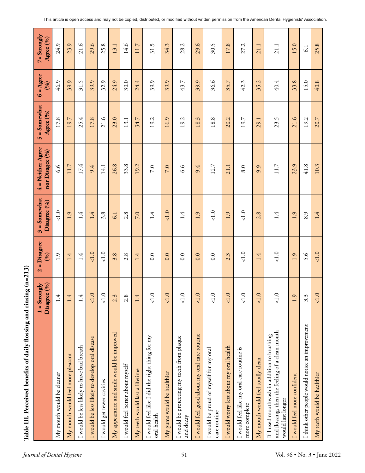|                                                                                                                     | Disagree (%)<br>$1 =$ Strongly          | = Disagree<br>(96)<br>$\overline{\mathbf{c}}$ | $3 =$ Somewhat<br>Disagree (%) | 4 = Neither Agree<br>nor Disagee (%) | $5 =$ Somewhat<br>Agree (%) | $6 = \text{Agree}$<br>(96) | $7 =$ Strongly<br>Agree (%) |
|---------------------------------------------------------------------------------------------------------------------|-----------------------------------------|-----------------------------------------------|--------------------------------|--------------------------------------|-----------------------------|----------------------------|-----------------------------|
| My mouth would be cleaner                                                                                           | 4.                                      | 1.9                                           | $<1.0$                         | 9.9                                  | 17.8                        | 46.9                       | 24.9                        |
| My mouth would feel more pleasant                                                                                   | $\overline{\mathcal{A}}$                | 1.4                                           | 1.9                            | 11.7                                 | 19.7                        | 39.9                       | 23.9                        |
| I would be less likely to have bad breath                                                                           | $\overline{A}$                          | 1.4                                           | 1.4                            | 17.4                                 | 25.4                        | 31.5                       | 21.6                        |
| I would be less likely to develop oral disease                                                                      | $<1.0$                                  | 1.0                                           | 1.4                            | 9.4                                  | 17.8                        | 39.9                       | 29.6                        |
| I would get fewer cavities                                                                                          | $<1.0$                                  | 1.0                                           | 3.8                            | 14.1                                 | 21.6                        | 32.9                       | 25.8                        |
| My appearance and smile would be improved                                                                           | $\ddot{\mathcal{E}}$<br>$\mathbf{\sim}$ | 3.8                                           | 6.1                            | 26.8                                 | 23.0                        | 24.9                       | 13.1                        |
| I would feel better about myself                                                                                    | $\infty$<br>$\sim$                      | 2.8                                           | 2.8                            | 33.8                                 | 13.1                        | 30.0                       | 14.6                        |
| My teeth would last a lifetime                                                                                      | Ā.                                      | 1.4                                           | 7.0                            | 19.2                                 | 34.7                        | 24.4                       | 117                         |
| I would feel like I did the right thing for my<br>oral health                                                       | $\leq 1.0$                              | 0.0                                           | 1.4                            | 7.0                                  | 19.2                        | 39.9                       | 31.5                        |
| My gums would be healthier                                                                                          | $<1.0$                                  | 0.0                                           | 1.0                            | 7.0                                  | 16.9                        | 39.9                       | 34.3                        |
| I would be protecting my teeth from plaque<br>and decay                                                             | $<1.0$                                  | 0.0                                           | 1.4                            | 9.9                                  | 19.2                        | 43.7                       | 28.2                        |
| I would feel good about my oral care routine                                                                        | $<1.0$                                  | 0.0                                           | Ċ<br>$\overline{ }$            | 9.4                                  | 18.3                        | 39.9                       | 29.6                        |
| I would be proud of myself for my oral<br>care routine                                                              | $<1.0$                                  | 0.0                                           | $\overline{c}$                 | 12.7                                 | 18.8                        | 36.6                       | 30.5                        |
| I would worry less about my oral health                                                                             | $<1.0$                                  | 2.3                                           | 1.9                            | 21.1                                 | 20.2                        | 35.7                       | 17.8                        |
| I would feel like my oral care routine is<br>more complete                                                          | 1.0                                     | 1.0                                           | $\leq 1.0$                     | 8.0                                  | 19.7                        | 42.3                       | 27.2                        |
| My mouth would feel totally clean                                                                                   | $<1.0$                                  | 1.4                                           | 2.8                            | 9.9                                  | 29.1                        | 35.2                       | 21.1                        |
| and flossing, then the feeling of a clean mouth<br>If I used mouthwash in addition to brushing<br>would last longer | 1.0                                     | 1.0                                           | 1.4                            | 11.7                                 | 23.5                        | 40.4                       | 21.1                        |
| I would feel more confident                                                                                         | $\ddot{\circ}$                          | 1.9                                           | 1.9                            | 23.9                                 | 21.6                        | 33.8                       | 15.0                        |
| I think other people would notice an improvement                                                                    | 3.3                                     | 5.6                                           | 8.9                            | 41.8                                 | 19.2                        | 15.0                       | $\overline{61}$             |
| My teeth would be healthier                                                                                         | $<1.0$                                  | 1.0                                           | 1.4                            | 10.3                                 | 20.7                        | 40.8                       | 25.8                        |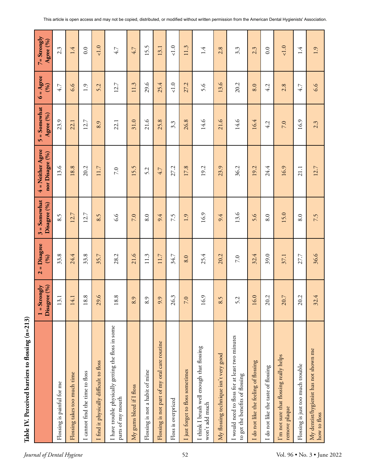| ţ                 |
|-------------------|
| ١<br>$-22.4$<br>ł |
| l                 |
|                   |
| $\frac{1}{1}$     |

|                                                                                   | Disagree (%)<br>$1 =$ Strongly | = Disagree<br>(96)<br>$\mathbf{\tilde{c}}$ | $3 =$ Somewhat<br>Disagree (%) | 4 = Neither Agree<br>nor Disagee (%) | $=$ Somewhat<br>Agree (%)<br>$\mathbf{v}$ | $6 = \text{Agree}$<br>(96) | $7 =$ Strongly<br>Agree (%) |
|-----------------------------------------------------------------------------------|--------------------------------|--------------------------------------------|--------------------------------|--------------------------------------|-------------------------------------------|----------------------------|-----------------------------|
| Flossing is painful for me                                                        | 13.1                           | 33.8                                       | 8.5                            | 13.6                                 | 23.9                                      | 4.7                        | 2.3                         |
| Flossing takes too much time                                                      | 14.1                           | 24.4                                       | 12.7                           | 18.8                                 | 22.1                                      | 6.6                        | 1.4                         |
| I cannot find the time to floss                                                   | $\infty$<br>$\overline{18}$    | 33.8                                       | 12.7                           | 20.2                                 | 12.7                                      | 1.9                        | 0.0                         |
| I find it physically difficult to floss                                           | $\tilde{9}$<br>29              | 35.7                                       | 8.5                            | 11.7                                 | 8.9                                       | 5.2                        | 1.0                         |
| I have trouble physically getting the floss in some<br>parts of my mouth          | 18.8                           | 28.2                                       | 9.9                            | 7.0                                  | 22.1                                      | 12.7                       | 4.7                         |
| My gums bleed if I floss                                                          | 8.9                            | 21.6                                       | 7.0                            | 15.5                                 | 31.0                                      | 11.3                       | 4.7                         |
| Flossing is not a habit of mine                                                   | 8.9                            | 11.3                                       | 8.0                            | 5.2                                  | 21.6                                      | 29.6                       | 15.5                        |
| Flossing is not part of my oral care routine                                      | 9.9                            | 11.7                                       | 9.4                            | 4.7                                  | 25.8                                      | 25.4                       | 13.1                        |
| Floss is overpriced                                                               | 26.3                           | 34.7                                       | 7.5                            | 27.2                                 | 3.3                                       | $\leq 1.0$                 | 1.0                         |
| I just forget to floss sometimes                                                  | 7.0                            | 8.0                                        | 1.9                            | 17.8                                 | 26.8                                      | 27.2                       | 11.3                        |
| I think I brush well enough that flossing<br>won't add much                       | 16.9                           | 25.4                                       | 16.9                           | 19.2                                 | 14.6                                      | 5.6                        | 1.4                         |
| My flossing technique isn't very good                                             | 8.5                            | 20.2                                       | 9.4                            | 23.9                                 | 21.6                                      | 13.6                       | 2.8                         |
| I would need to floss for at least two minutes<br>to get the benefits of flossing | 5.2                            | 7.0                                        | 13.6                           | 36.2                                 | 14.6                                      | 20.2                       | 3.3                         |
| I do not like the feeling of flossing                                             | 16.0                           | 32.4                                       | 5.6                            | 19.2                                 | 16.4                                      | 8.0                        | 2.3                         |
| I do not like the taste of flossing                                               | 20.2                           | 39.0                                       | 8.0                            | 24.4                                 | 4.2                                       | 4.2                        | 0.0                         |
| I'm not sure that flossing really helps<br>remove plaque                          | 20.7                           | 37.1                                       | 15.0                           | 16.9                                 | 7.0                                       | 2.8                        | 1.0                         |
| Flossing is just too much trouble                                                 | 20.2                           | 27.7                                       | 8.0                            | 21.1                                 | 16.9                                      | 4.7                        | 1.4                         |
| My dentist/hygienist has not shown me<br>how to floss                             | 32.4                           | 36.6                                       | 7.5                            | 12.7                                 | 2.3                                       | 6.6                        | 1.9                         |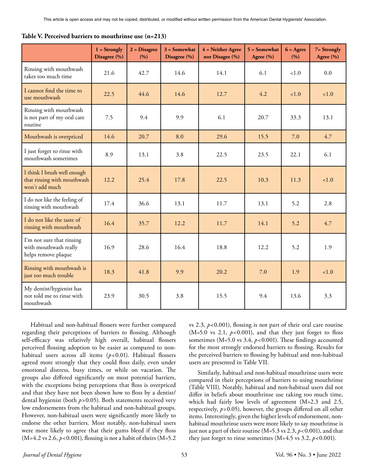|                                                                              | $1 =$ Strongly<br>Disagree (%) | $2 = Disagree$<br>(9/0) | $3 =$ Somewhat<br>Disagree (%) | 4 = Neither Agree<br>nor Disagee (%) | $5 = Somewhat$<br>Agree (%) | $6 = \text{Agree}$<br>(9/6) | 7= Strongly<br>Agree (%) |
|------------------------------------------------------------------------------|--------------------------------|-------------------------|--------------------------------|--------------------------------------|-----------------------------|-----------------------------|--------------------------|
| Rinsing with mouthwash<br>takes too much time                                | 21.6                           | 42.7                    | 14.6                           | 14.1                                 | 6.1                         | 1.0                         | 0.0                      |
| I cannot find the time to<br>use mouthwash                                   | 22.5                           | 44.6                    | 14.6                           | 12.7                                 | 4.2                         | < 1.0                       | < 1.0                    |
| Rinsing with mouthwash<br>is not part of my oral care<br>routine             | 7.5                            | 9.4                     | 9.9                            | 6.1                                  | 20.7                        | 33.3                        | 13.1                     |
| Mouthwash is overpriced                                                      | 14.6                           | 20.7                    | 8.0                            | 29.6                                 | 15.5                        | 7.0                         | 4.7                      |
| I just forget to rinse with<br>mouthwash sometimes                           | 8.9                            | 13.1                    | 3.8                            | 22.5                                 | 23.5                        | 22.1                        | 6.1                      |
| I think I brush well enough<br>that rinsing with mouthwash<br>won't add much | 12.2                           | 25.4                    | 17.8                           | 22.5                                 | 10.3                        | 11.3                        | < 1.0                    |
| I do not like the feeling of<br>rinsing with mouthwash                       | 17.4                           | 36.6                    | 13.1                           | 11.7                                 | 13.1                        | 5.2                         | 2.8                      |
| I do not like the taste of<br>rinsing with mouthwash                         | 16.4                           | 35.7                    | 12.2                           | 11.7                                 | 14.1                        | 5.2                         | 4.7                      |
| I'm not sure that rinsing<br>with mouthwash really<br>helps remove plaque    | 16.9                           | 28.6                    | 16.4                           | 18.8                                 | 12.2                        | 5.2                         | 1.9                      |
| Rinsing with mouthwash is<br>just too much trouble                           | 18.3                           | 41.8                    | 9.9                            | 20.2                                 | 7.0                         | 1.9                         | < 1.0                    |
| My dentist/hygienist has<br>not told me to rinse with<br>mouthwash           | 23.9                           | 30.5                    | 3.8                            | 15.5                                 | 9.4                         | 13.6                        | 3.3                      |

|  |  |  |  |  |  |  | Table V. Perceived barriers to mouthrinse use (n=213) |  |  |
|--|--|--|--|--|--|--|-------------------------------------------------------|--|--|
|--|--|--|--|--|--|--|-------------------------------------------------------|--|--|

Habitual and non-habitual flossers were further compared regarding their perceptions of barriers to flossing. Although self-efficacy was relatively high overall, habitual flossers perceived flossing adoption to be easier as compared to nonhabitual users across all items (*p*<0.01). Habitual flossers agreed more strongly that they could floss daily, even under emotional distress, busy times, or while on vacation. The groups also differed significantly on most potential barriers, with the exceptions being perceptions that floss is overpriced and that they have not been shown how to floss by a dentist/ dental hygienist (both *p*>0.05). Both statements received very low endorsements from the habitual and non-habitual groups. However, non-habitual users were significantly more likely to endorse the other barriers. Most notably, non-habitual users were more likely to agree that their gums bleed if they floss (M=4.2 vs 2.6, *p*<0.001), flossing is not a habit of theirs (M=5.2

vs 2.3, *p*<0.001), flossing is not part of their oral care routine ( $M=5.0$  vs 2.1,  $p<0.001$ ), and that they just forget to floss sometimes (M=5.0 vs 3.4,  $p$ <0.001). These findings accounted for the most strongly endorsed barriers to flossing. Results for the perceived barriers to flossing by habitual and non-habitual users are presented in Table VII.

Similarly, habitual and non-habitual mouthrinse users were compared in their perceptions of barriers to using mouthrinse (Table VIII). Notably, habitual and non-habitual users did not differ in beliefs about mouthrinse use taking too much time, which had fairly low levels of agreement (M=2.3 and 2.5, respectively, *p*>0.05)*,* however, the groups differed on all other items. Interestingly, given the higher levels of endorsement, nonhabitual mouthrinse users were more likely to say mouthrinse is just not a part of their routine ( $M=5.3$  vs 2.3,  $p<0.001$ ), and that they just forget to rinse sometimes  $(M=4.5 \text{ vs } 3.2, p<0.001)$ .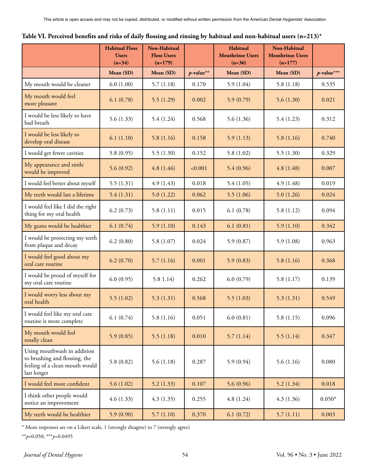|                                                                                                               | <b>Habitual Floss</b><br><b>Users</b><br>$(n=34)$ | Non-Habitual<br><b>Floss Users</b><br>$(n=179)$ |              | Habitual<br><b>Mouthrinse Users</b><br>$(n=36)$ | Non-Habitual<br><b>Mouthrinse Users</b><br>$(n=177)$ |               |
|---------------------------------------------------------------------------------------------------------------|---------------------------------------------------|-------------------------------------------------|--------------|-------------------------------------------------|------------------------------------------------------|---------------|
|                                                                                                               | Mean (SD)                                         | Mean (SD)                                       | $p$ -value** | Mean (SD)                                       | Mean (SD)                                            | $p$ -value*** |
| My mouth would be cleaner                                                                                     | 6.0(1.00)                                         | 5.7(1.18)                                       | 0.170        | 5.9(1.04)                                       | 5.8(1.18)                                            | 0.535         |
| My mouth would feel<br>more pleasant                                                                          | 6.1(0.78)                                         | 5.5(1.29)                                       | 0.002        | 5.9(0.79)                                       | 5.6(1.30)                                            | 0.021         |
| I would be less likely to have<br>bad breath                                                                  | 5.6(1.33)                                         | 5.4(1.24)                                       | 0.568        | 5.6(1.36)                                       | 5.4(1.23)                                            | 0.312         |
| I would be less likely to<br>develop oral disease                                                             | 6.1(1.10)                                         | 5.8(1.16)                                       | 0.158        | 5.9(1.13)                                       | 5.8(1.16)                                            | 0.740         |
| I would get fewer cavities                                                                                    | 5.8(0.95)                                         | 5.5(1.30)                                       | 0.152        | 5.8(1.02)                                       | 5.5(1.30)                                            | 0.329         |
| My appearance and smile<br>would be improved                                                                  | 5.6(0.92)                                         | 4.8(1.46)                                       | < 0.001      | 5.4(0.96)                                       | 4.8(1.48)                                            | 0.007         |
| I would feel better about myself                                                                              | 5.5(1.31)                                         | 4.9(1.43)                                       | 0.018        | 5.4(1.05)                                       | 4.9(1.48)                                            | 0.019         |
| My teeth would last a lifetime                                                                                | 5.4(1.31)                                         | 5.0(1.22)                                       | 0.062        | 5.5(1.06)                                       | 5.0(1.26)                                            | 0.024         |
| I would feel like I did the right<br>thing for my oral health                                                 | 6.2(0.73)                                         | 5.8(1.11)                                       | 0.015        | 6.1(0.78)                                       | 5.8(1.12)                                            | 0.094         |
| My gums would be healthier                                                                                    | 6.1(0.74)                                         | 5.9(1.10)                                       | 0.143        | 6.1(0.81)                                       | 5.9(1.10)                                            | 0.342         |
| I would be protecting my teeth<br>from plaque and decay                                                       | 6.2(0.80)                                         | 5.8(1.07)                                       | 0.024        | 5.9(0.87)                                       | 5.9(1.08)                                            | 0.963         |
| I would feel good about my<br>oral care routine                                                               | 6.2(0.70)                                         | 5.7(1.16)                                       | 0.001        | 5.9(0.83)                                       | 5.8(1.16)                                            | 0.368         |
| I would be proud of myself for<br>my oral care routine                                                        | 6.0(0.95)                                         | 5.81.14)                                        | 0.262        | 6.0(0.79)                                       | 5.8(1.17)                                            | 0.139         |
| I would worry less about my<br>oral health                                                                    | 5.5(1.02)                                         | 5.3(1.31)                                       | 0.568        | 5.5(1.03)                                       | 5.3(1.31)                                            | 0.549         |
| I would feel like my oral care<br>routine is more complete                                                    | 6.1(0.74)                                         | 5.8(1.16)                                       | 0.051        | 6.0(0.81)                                       | 5.8(1.15)                                            | 0.096         |
| My mouth would feel<br>totally clean                                                                          | 5.9(0.85)                                         | 5.5(1.18)                                       | 0.010        | 5.7(1.14)                                       | 5.5(1.14)                                            | 0.347         |
| Using mouthwash in addition<br>to brushing and flossing, the<br>feeling of a clean mouth would<br>last longer | 5.8(0.82)                                         | 5.6(1.18)                                       | 0.287        | 5.9(0.94)                                       | 5.6(1.16)                                            | 0.080         |
| I would feel more confident                                                                                   | 5.6(1.02)                                         | 5.2(1.33)                                       | 0.107        | 5.6(0.96)                                       | 5.2(1.34)                                            | 0.018         |
| I think other people would<br>notice an improvement                                                           | 4.6(1.33)                                         | 4.3(1.35)                                       | 0.255        | 4.8(1.24)                                       | 4.3(1.36)                                            | $0.050*$      |
| My teeth would be healthier                                                                                   | 5.9(0.90)                                         | 5.7(1.10)                                       | 0.370        | 6.1(0.72)                                       | 5.7(1.11)                                            | 0.003         |

\* Mean responses are on a Likert scale, 1 (strongly disagree) to 7 (strongly agree)

\*\**p*<0.050; \*\*\**p*=0.0495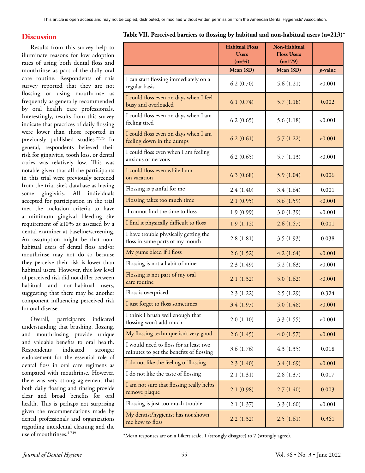# **Discussion**

Results from this survey help to illuminate reasons for low adoption rates of using both dental floss and mouthrinse as part of the daily oral care routine. Respondents of this survey reported that they are not flossing or using mouthrinse as frequently as generally recommended by oral health care professionals. Interestingly, results from this survey indicate that practices of daily flossing were lower than those reported in previously published studies.<sup>22,23</sup> In general, respondents believed their risk for gingivitis, tooth loss, or dental caries was relatively low. This was notable given that all the participants in this trial were previously screened from the trial site's database as having some gingivitis. All individuals accepted for participation in the trial met the inclusion criteria to have a minimum gingival bleeding site requirement of ≥10% as assessed by a dental examiner at baseline/screening. An assumption might be that nonhabitual users of dental floss and/or mouthrinse may not do so because they perceive their risk is lower than habitual users. However, this low level of perceived risk did not differ between habitual and non-habitual users, suggesting that there may be another component influencing perceived risk for oral disease.

Overall, participants indicated understanding that brushing, flossing, and mouthrinsing provide unique and valuable benefits to oral health. Respondents indicated stronger endorsement for the essential role of dental floss in oral care regimens as compared with mouthrinse. However, there was very strong agreement that both daily flossing and rinsing provide clear and broad benefits for oral health. This is perhaps not surprising given the recommendations made by dental professionals and organizations regarding interdental cleaning and the use of mouthrinses. $4-7,19$ 

#### **Table VII. Perceived barriers to flossing by habitual and non-habitual users (n=213)\***

|                                                                                   | <b>Habitual Floss</b><br><b>Users</b><br>$(n=34)$ | <b>Non-Habitual</b><br><b>Floss Users</b><br>$(n=179)$ |         |
|-----------------------------------------------------------------------------------|---------------------------------------------------|--------------------------------------------------------|---------|
|                                                                                   | Mean (SD)                                         | Mean (SD)                                              | p-value |
| I can start flossing immediately on a<br>regular basis                            | 6.2(0.70)                                         | 5.6(1.21)                                              | < 0.001 |
| I could floss even on days when I feel<br>busy and overloaded                     | 6.1(0.74)                                         | 5.7(1.18)                                              | 0.002   |
| I could floss even on days when I am<br>feeling tired                             | 6.2(0.65)                                         | 5.6(1.18)                                              | < 0.001 |
| I could floss even on days when I am<br>feeling down in the dumps                 | 6.2(0.61)                                         | 5.7(1.22)                                              | < 0.001 |
| I could floss even when I am feeling<br>anxious or nervous                        | 6.2(0.65)                                         | 5.7(1.13)                                              | < 0.001 |
| I could floss even while I am<br>on vacation                                      | 6.3(0.68)                                         | 5.9(1.04)                                              | 0.006   |
| Flossing is painful for me                                                        | 2.4(1.40)                                         | 3.4(1.64)                                              | 0.001   |
| Flossing takes too much time                                                      | 2.1(0.95)                                         | 3.6(1.59)                                              | < 0.001 |
| I cannot find the time to floss                                                   | 1.9(0.99)                                         | 3.0(1.39)                                              | < 0.001 |
| I find it physically difficult to floss                                           | 1.9(1.12)                                         | 2.6(1.57)                                              | 0.001   |
| I have trouble physically getting the<br>floss in some parts of my mouth          | 2.8(1.81)                                         | 3.5(1.93)                                              | 0.038   |
| My gums bleed if I floss                                                          | 2.6(1.52)                                         | 4.2(1.64)                                              | < 0.001 |
| Flossing is not a habit of mine                                                   | 2.3(1.49)                                         | 5.2(1.63)                                              | < 0.001 |
| Flossing is not part of my oral<br>care routine                                   | 2.1(1.32)                                         | 5.0(1.62)                                              | < 0.001 |
| Floss is overpriced                                                               | 2.3(1.22)                                         | 2.5(1.29)                                              | 0.324   |
| I just forget to floss sometimes                                                  | 3.4(1.97)                                         | 5.0(1.48)                                              | < 0.001 |
| I think I brush well enough that<br>flossing won't add much                       | 2.0(1.10)                                         | 3.3(1.55)                                              | < 0.001 |
| My flossing technique isn't very good                                             | 2.6(1.45)                                         | 4.0(1.57)                                              | < 0.001 |
| I would need to floss for at least two<br>minutes to get the benefits of flossing | 3.6(1.76)                                         | 4.3(1.35)                                              | 0.018   |
| I do not like the feeling of flossing                                             | 2.3(1.40)                                         | 3.4(1.69)                                              | < 0.001 |
| I do not like the taste of flossing                                               | 2.1(1.31)                                         | 2.8(1.37)                                              | 0.017   |
| I am not sure that flossing really helps<br>remove plaque                         | 2.1(0.98)                                         | 2.7(1.40)                                              | 0.003   |
| Flossing is just too much trouble                                                 | 2.1(1.37)                                         | 3.3(1.60)                                              | < 0.001 |
| My dentist/hygienist has not shown<br>me how to floss                             | 2.2(1.32)                                         | 2.5(1.61)                                              | 0.361   |

\*Mean responses are on a Likert scale, 1 (strongly disagree) to 7 (strongly agree).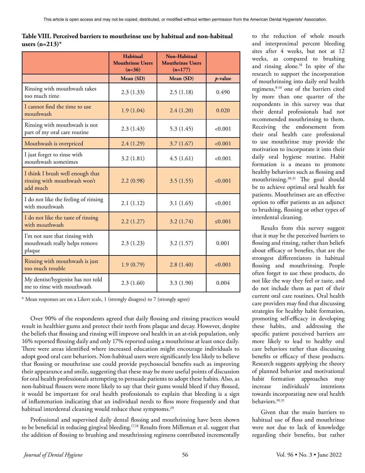| Table VIII. Perceived barriers to mouthrinse use by habitual and non-habitual |  |
|-------------------------------------------------------------------------------|--|
| users (n=213)*                                                                |  |

|                                                                              | Habitual<br><b>Mouthrinse Users</b><br>$(n=36)$ | <b>Non-Habitual</b><br><b>Mouthrinse Users</b><br>$(n=177)$ |              |
|------------------------------------------------------------------------------|-------------------------------------------------|-------------------------------------------------------------|--------------|
|                                                                              | Mean (SD)                                       | Mean (SD)                                                   | p-value      |
| Rinsing with mouthwash takes<br>too much time                                | 2.3(1.33)                                       | 2.5(1.18)                                                   | 0.490        |
| I cannot find the time to use<br>mouthwash                                   | 1.9(1.04)                                       | 2.4(1.20)                                                   | 0.020        |
| Rinsing with mouthwash is not<br>part of my oral care routine                | 2.3(1.43)                                       | 5.3(1.45)                                                   | < 0.001      |
| Mouthwash is overpriced                                                      | 2.4(1.29)                                       | 3.7(1.67)                                                   | < 0.001      |
| I just forget to rinse with<br>mouthwash sometimes                           | 3.2(1.81)                                       | 4.5(1.61)                                                   | < 0.001      |
| I think I brush well enough that<br>rinsing with mouthwash won't<br>add much | 2.2(0.98)                                       | 3.5(1.55)                                                   | < 0.001      |
| I do not like the feeling of rinsing<br>with mouthwash                       | 2.1(1.12)                                       | 3.1(1.65)                                                   | < 0.001      |
| I do not like the taste of rinsing<br>with mouthwash                         | 2.2(1.27)                                       | 3.2(1.74)                                                   | $\leq 0.001$ |
| I'm not sure that rinsing with<br>mouthwash really helps remove<br>plaque    | 2.3(1.23)                                       | 3.2(1.57)                                                   | 0.001        |
| Rinsing with mouthwash is just<br>too much trouble                           | 1.9(0.79)                                       | 2.8(1.40)                                                   | < 0.001      |
| My dentist/hygienist has not told<br>me to rinse with mouthwash              | 2.3(1.60)                                       | 3.3(1.90)                                                   | 0.004        |

\* Mean responses are on a Likert scale, 1 (strongly disagree) to 7 (strongly agree)

Over 90% of the respondents agreed that daily flossing and rinsing practices would result in healthier gums and protect their teeth from plaque and decay. However, despite the beliefs that flossing and rinsing will improve oral health in an at-risk population, only 16% reported flossing daily and only 17% reported using a mouthrinse at least once daily. There were areas identified where increased education might encourage individuals to adopt good oral care behaviors. Non-habitual users were significantly less likely to believe that flossing or mouthrinse use could provide psychosocial benefits such as improving their appearance and smile, suggesting that these may be more useful points of discussion for oral health professionals attempting to persuade patients to adopt these habits. Also, as non-habitual flossers were more likely to say that their gums would bleed if they flossed, it would be important for oral health professionals to explain that bleeding is a sign of inflammation indicating that an individual needs to floss more frequently and that habitual interdental cleaning would reduce these symptoms.<sup>29</sup>

Professional and supervised daily dental flossing and mouthrinsing have been shown to be beneficial in reducing gingival bleeding.<sup>17,18</sup> Results from Milleman et al. suggest that the addition of flossing to brushing and mouthrinsing regimens contributed incrementally to the reduction of whole mouth and interproximal percent bleeding sites after 4 weeks, but not at 12 weeks, as compared to brushing and rinsing alone.18 In spite of the research to support the incorporation of mouthrinsing into daily oral health regimens,8-16 one of the barriers cited by more than one quarter of the respondents in this survey was that their dental professionals had not recommended mouthrinsing to them. Receiving the endorsement from their oral health care professional to use mouthrinse may provide the motivation to incorporate it into their daily oral hygiene routine. Habit formation is a means to promote healthy behaviors such as flossing and mouthrinsing.30,31 The goal should be to achieve optimal oral health for patients. Mouthrinses are an effective option to offer patients as an adjunct to brushing, flossing or other types of interdental cleaning.

Results from this survey suggest that it may be the perceived barriers to flossing and rinsing, rather than beliefs about efficacy or benefits, that are the strongest differentiators in habitual flossing and mouthrinsing. People often forget to use these products, do not like the way they feel or taste, and do not include them as part of their current oral care routines. Oral health care providers may find that discussing strategies for healthy habit formation, promoting self-efficacy in developing these habits, and addressing the specific patient perceived barriers are more likely to lead to healthy oral care behaviors rather than discussing benefits or efficacy of these products. Research suggests applying the theory of planned behavior and motivational habit formation approaches may increase individuals' intentions towards incorporating new oral health behaviors.<sup>30,31</sup>

Given that the main barriers to habitual use of floss and mouthrinse were not due to lack of knowledge regarding their benefits, but rather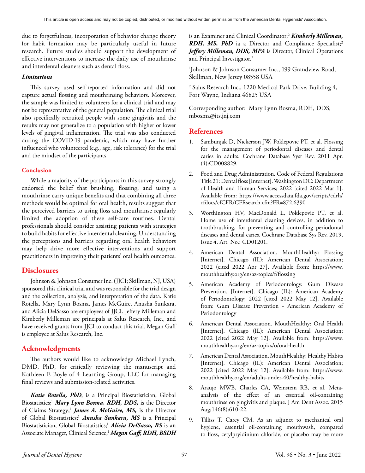due to forgetfulness, incorporation of behavior change theory for habit formation may be particularly useful in future research. Future studies should support the development of effective interventions to increase the daily use of mouthrinse and interdental cleaners such as dental floss.

### *Limitations*

This survey used self-reported information and did not capture actual flossing and mouthrinsing behaviors. Moreover, the sample was limited to volunteers for a clinical trial and may not be representative of the general population. The clinical trial also specifically recruited people with some gingivitis and the results may not generalize to a population with higher or lower levels of gingival inflammation. The trial was also conducted during the COVID-19 pandemic, which may have further influenced who volunteered (e.g., age, risk tolerance) for the trial and the mindset of the participants.

## **Conclusion**

While a majority of the participants in this survey strongly endorsed the belief that brushing, flossing, and using a mouthrinse carry unique benefits and that combining all three methods would be optimal for oral health, results suggest that the perceived barriers to using floss and mouthrinse regularly limited the adoption of these self-care routines. Dental professionals should consider assisting patients with strategies to build habits for effective interdental cleaning. Understanding the perceptions and barriers regarding oral health behaviors may help drive more effective interventions and support practitioners in improving their patients' oral health outcomes.

# **Disclosures**

Johnson & Johnson Consumer Inc. (JJCI; Skillman, NJ, USA) sponsored this clinical trial and was responsible for the trial design and the collection, analysis, and interpretation of the data. Katie Rotella, Mary Lynn Bosma, James McGuire, Anusha Sunkara, and Alicia DelSasso are employees of JJCI. Jeffery Milleman and Kimberly Milleman are principals at Salus Research, Inc., and have received grants from JJCI to conduct this trial. Megan Gaff is employee at Salus Research, Inc.

# **Acknowledgments**

The authors would like to acknowledge Michael Lynch, DMD, PhD, for critically reviewing the manuscript and Kathleen E Boyle of 4 Learning Group, LLC for managing final reviews and submission-related activities.

*Katie Rotella, PhD*, is a Principal Biostatistician, Global Biostatistics;<sup>1</sup> Mary Lynn Bosma, RDH, DDS, is the Director of Claims Strategy; <sup>1</sup> *James A. McGuire, MS,* is the Director of Global Biostatistics; <sup>1</sup> *Anusha Sunkara, MS* is a Principal Biostatistician, Global Biostatistics; <sup>1</sup> *Alicia DelSasso, BS* is an Associate Manager, Clinical Science;1 *Megan Gaff, RDH, BSDH*

is an Examiner and Clinical Coordinator; <sup>2</sup> *Kimberly Milleman, RDH, MS, PhD* ia a Director and Compliance Specialist; 2 *Jeffery Milleman, DDS, MPA* is Director, Clinical Operations and Principal Investigator.2

1 Johnson & Johnson Consumer Inc., 199 Grandview Road, Skillman, New Jersey 08558 USA

2 Salus Research Inc., 1220 Medical Park Drive, Building 4, Fort Wayne, Indiana 46825 USA

Corresponding author: Mary Lynn Bosma, RDH, DDS; mbosma@its.jnj.com

# **References**

- 1. Sambunjak D, Nickerson JW, Poklepovic PT, et al. Flossing for the management of periodontal diseases and dental caries in adults. Cochrane Database Syst Rev. 2011 Apr. (4):CD008829.
- 2. Food and Drug Administration. Code of Federal Regulations Title 21: Dental floss [Internet]. Washington DC: Department of Health and Human Services; 2022 [cited 2022 Mar 1]. Available from: https://www.accessdata.fda.gov/scripts/cdrh/ cfdocs/cfCFR/CFRsearch.cfm?FR=872.6390
- 3. Worthington HV, MacDonald L, Poklepovic PT, et al. Home use of interdental cleaning devices, in addition to toothbrushing, for preventing and controlling periodontal diseases and dental caries. Cochrane Database Sys Rev. 2019, Issue 4. Art. No.: CD01201.
- 4. American Dental Association. MouthHealthy: Flossing [Internet]. Chicago (IL): American Dental Association; 2022 (cited 2022 Apr 27]. Available from: https://www. mouthhealthy.org/en/az-topics/f/flossing
- 5. American Academy of Periodontology. Gum Disease Prevention. [Internet]. Chicago (IL): American Academy of Periodontology; 2022 [cited 2022 May 12]. Available from: Gum Disease Prevention - American Academy of Periodontology
- 6. American Dental Association. MouthHealthy: Oral Health [Internet]. Chicago (IL): American Dental Association; 2022 [cited 2022 May 12]. Available from: https://www. mouthhealthy.org/en/az-topics/o/oral-health
- 7. American Dental Association. MouthHealthy: Healthy Habits [Internet]. Chicago (IL): American Dental Association; 2022 [cited 2022 May 12]. Available from: https://www. mouthhealthy.org/en/adults-under-40/healthy-habits
- 8. Araujo MWB, Charles CA, Weinstein RB, et al. Metaanalysis of the effect of an essential oil-containing mouthrinse on gingivitis and plaque. J Am Dent Assoc. 2015 Aug;146(8):610-22.
- 9. Tilliss T, Carey CM. As an adjunct to mechanical oral hygiene, essential oil-containing mouthwash, compared to floss, cetylpryidinium chloride, or placebo may be more